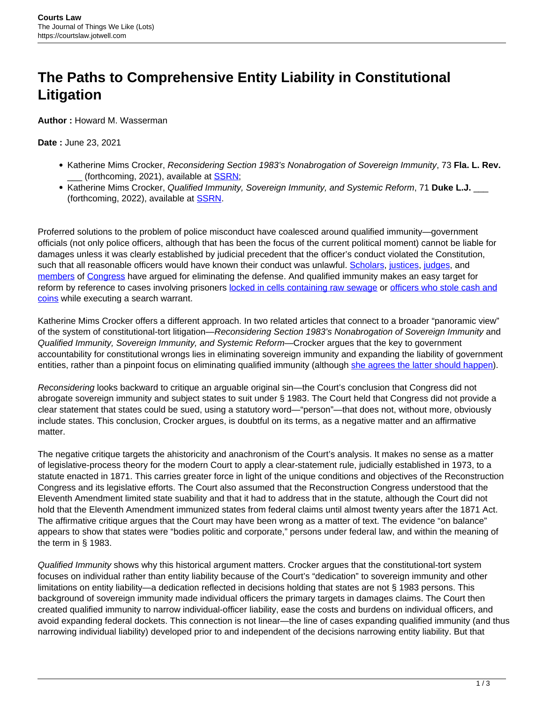## **The Paths to Comprehensive Entity Liability in Constitutional Litigation**

**Author :** Howard M. Wasserman

## **Date :** June 23, 2021

- Katherine Mims Crocker, Reconsidering Section 1983's Nonabrogation of Sovereign Immunity, 73 **Fla. L. Rev.** (forthcoming, 2021), available at **SSRN**;
- Katherine Mims Crocker, Qualified Immunity, Sovereign Immunity, and Systemic Reform, 71 Duke L.J. (forthcoming, 2022), available at [SSRN](https://papers.ssrn.com/sol3/papers.cfm?abstract_id=3796337).

Proferred solutions to the problem of police misconduct have coalesced around qualified immunity—government officials (not only police officers, although that has been the focus of the current political moment) cannot be liable for damages unless it was clearly established by judicial precedent that the officer's conduct violated the Constitution, such that all reasonable officers would have known their conduct was unlawful. [Scholars,](https://chicagounbound.uchicago.edu/cgi/viewcontent.cgi?article=13555&context=journal_articles) [justices,](https://www.supremecourt.gov/opinions/16pdf/15-1358_6khn.pdf) [judges,](http://www.ca5.uscourts.gov/opinions/pub/17/17-50518%20-CV0.pdf) and [members](https://pressley.house.gov/sites/pressley.house.gov/files/Ending%20Qualified%20Immunity%20Act_0.pdf) of [Congress](https://www.congress.gov/bill/117th-congress/house-bill/1280/text#toc-H5A0B5A5505624C60B7132DBF904D86E8) have argued for eliminating the defense. And qualified immunity makes an easy target for reform by reference to cases involving prisoners [locked in cells containing raw sewage](https://scholar.google.com/scholar_case?case=14974172082728482637&hl=en&as_sdt=6&as_vis=1&oi=scholarr) or [officers who stole cash and](https://scholar.google.com/scholar_case?case=15274053915131212652&hl=en&as_sdt=6&as_vis=1&oi=scholarr) [coins](https://scholar.google.com/scholar_case?case=15274053915131212652&hl=en&as_sdt=6&as_vis=1&oi=scholarr) while executing a search warrant.

Katherine Mims Crocker offers a different approach. In two related articles that connect to a broader "panoramic view" of the system of constitutional-tort litigation—Reconsidering Section 1983's Nonabrogation of Sovereign Immunity and Qualified Immunity, Sovereign Immunity, and Systemic Reform—Crocker argues that the key to government accountability for constitutional wrongs lies in eliminating sovereign immunity and expanding the liability of government entities, rather than a pinpoint focus on eliminating qualified immunity (although [she agrees the latter should happen\)](https://repository.law.umich.edu/mlr/vol117/iss7/3/).

Reconsidering looks backward to critique an arguable original sin—the Court's conclusion that Congress did not abrogate sovereign immunity and subject states to suit under § 1983. The Court held that Congress did not provide a clear statement that states could be sued, using a statutory word—"person"—that does not, without more, obviously include states. This conclusion, Crocker argues, is doubtful on its terms, as a negative matter and an affirmative matter.

The negative critique targets the ahistoricity and anachronism of the Court's analysis. It makes no sense as a matter of legislative-process theory for the modern Court to apply a clear-statement rule, judicially established in 1973, to a statute enacted in 1871. This carries greater force in light of the unique conditions and objectives of the Reconstruction Congress and its legislative efforts. The Court also assumed that the Reconstruction Congress understood that the Eleventh Amendment limited state suability and that it had to address that in the statute, although the Court did not hold that the Eleventh Amendment immunized states from federal claims until almost twenty years after the 1871 Act. The affirmative critique argues that the Court may have been wrong as a matter of text. The evidence "on balance" appears to show that states were "bodies politic and corporate," persons under federal law, and within the meaning of the term in § 1983.

Qualified Immunity shows why this historical argument matters. Crocker argues that the constitutional-tort system focuses on individual rather than entity liability because of the Court's "dedication" to sovereign immunity and other limitations on entity liability—a dedication reflected in decisions holding that states are not § 1983 persons. This background of sovereign immunity made individual officers the primary targets in damages claims. The Court then created qualified immunity to narrow individual-officer liability, ease the costs and burdens on individual officers, and avoid expanding federal dockets. This connection is not linear—the line of cases expanding qualified immunity (and thus narrowing individual liability) developed prior to and independent of the decisions narrowing entity liability. But that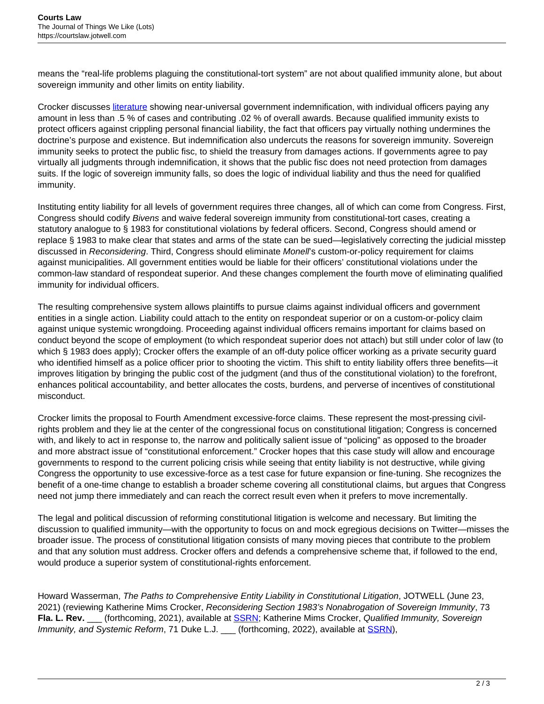means the "real-life problems plaguing the constitutional-tort system" are not about qualified immunity alone, but about sovereign immunity and other limits on entity liability.

Crocker discusses [literature](https://papers.ssrn.com/sol3/papers.cfm?abstract_id=2297534) showing near-universal government indemnification, with individual officers paying any amount in less than .5 % of cases and contributing .02 % of overall awards. Because qualified immunity exists to protect officers against crippling personal financial liability, the fact that officers pay virtually nothing undermines the doctrine's purpose and existence. But indemnification also undercuts the reasons for sovereign immunity. Sovereign immunity seeks to protect the public fisc, to shield the treasury from damages actions. If governments agree to pay virtually all judgments through indemnification, it shows that the public fisc does not need protection from damages suits. If the logic of sovereign immunity falls, so does the logic of individual liability and thus the need for qualified immunity.

Instituting entity liability for all levels of government requires three changes, all of which can come from Congress. First, Congress should codify Bivens and waive federal sovereign immunity from constitutional-tort cases, creating a statutory analogue to § 1983 for constitutional violations by federal officers. Second, Congress should amend or replace § 1983 to make clear that states and arms of the state can be sued—legislatively correcting the judicial misstep discussed in Reconsidering. Third, Congress should eliminate Monell's custom-or-policy requirement for claims against municipalities. All government entities would be liable for their officers' constitutional violations under the common-law standard of respondeat superior. And these changes complement the fourth move of eliminating qualified immunity for individual officers.

The resulting comprehensive system allows plaintiffs to pursue claims against individual officers and government entities in a single action. Liability could attach to the entity on respondeat superior or on a custom-or-policy claim against unique systemic wrongdoing. Proceeding against individual officers remains important for claims based on conduct beyond the scope of employment (to which respondeat superior does not attach) but still under color of law (to which § 1983 does apply); Crocker offers the example of an off-duty police officer working as a private security guard who identified himself as a police officer prior to shooting the victim. This shift to entity liability offers three benefits—it improves litigation by bringing the public cost of the judgment (and thus of the constitutional violation) to the forefront, enhances political accountability, and better allocates the costs, burdens, and perverse of incentives of constitutional misconduct.

Crocker limits the proposal to Fourth Amendment excessive-force claims. These represent the most-pressing civilrights problem and they lie at the center of the congressional focus on constitutional litigation; Congress is concerned with, and likely to act in response to, the narrow and politically salient issue of "policing" as opposed to the broader and more abstract issue of "constitutional enforcement." Crocker hopes that this case study will allow and encourage governments to respond to the current policing crisis while seeing that entity liability is not destructive, while giving Congress the opportunity to use excessive-force as a test case for future expansion or fine-tuning. She recognizes the benefit of a one-time change to establish a broader scheme covering all constitutional claims, but argues that Congress need not jump there immediately and can reach the correct result even when it prefers to move incrementally.

The legal and political discussion of reforming constitutional litigation is welcome and necessary. But limiting the discussion to qualified immunity—with the opportunity to focus on and mock egregious decisions on Twitter—misses the broader issue. The process of constitutional litigation consists of many moving pieces that contribute to the problem and that any solution must address. Crocker offers and defends a comprehensive scheme that, if followed to the end, would produce a superior system of constitutional-rights enforcement.

Howard Wasserman, The Paths to Comprehensive Entity Liability in Constitutional Litigation, JOTWELL (June 23, 2021) (reviewing Katherine Mims Crocker, Reconsidering Section 1983's Nonabrogation of Sovereign Immunity, 73 Fla. L. Rev. \_\_\_ (forthcoming, 2021), available at **SSRN**; Katherine Mims Crocker, Qualified Immunity, Sovereign Immunity, and Systemic Reform, 71 Duke L.J. \_\_ (forthcoming, 2022), available at **SSRN**),